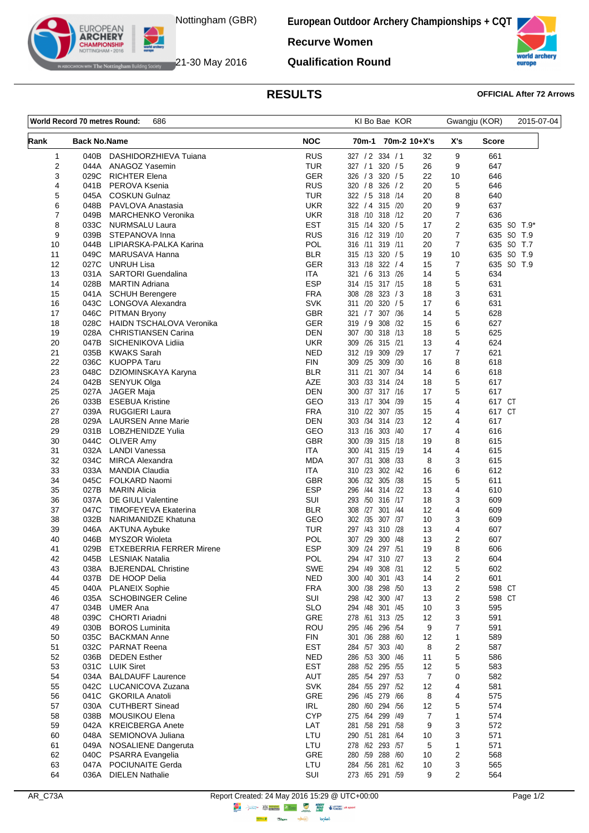

The Nottingham Building Society  $21$ -30 May 2016

**EUROPEAN ARCHERY** 

**European Outdoor Archery Championships + CQT**

**Recurve Women**

**Qualification Round**

# world europe

## **RESULTS OFFICIAL After 72 Arrows**

| World Record 70 metres Round:<br>686 |                     |                                                         | KI Bo Bae KOR            |                                        | Gwangju (KOR)  |                              | 2015-07-04 |             |
|--------------------------------------|---------------------|---------------------------------------------------------|--------------------------|----------------------------------------|----------------|------------------------------|------------|-------------|
| Rank                                 | <b>Back No.Name</b> |                                                         | <b>NOC</b>               | 70m-1<br>70m-2 10+X's                  |                | X's                          | Score      |             |
| 1                                    | 040B                | DASHIDORZHIEVA Tuiana                                   | <b>RUS</b>               | 327 / 2 334 / 1                        | 32             | 9                            | 661        |             |
| 2                                    | 044A                | ANAGOZ Yasemin                                          | TUR                      | 327 / 1 320 / 5                        | 26             | 9                            | 647        |             |
| 3                                    | 029C                | <b>RICHTER Elena</b>                                    | <b>GER</b>               | 326 / 3 320 / 5                        | 22             | 10                           | 646        |             |
| 4                                    | 041B                | PEROVA Ksenia                                           | <b>RUS</b>               | 320 / 8 326 / 2                        | 20             | 5                            | 646        |             |
| 5<br>6                               | 045A<br>048B        | <b>COSKUN Gulnaz</b><br>PAVLOVA Anastasia               | TUR<br><b>UKR</b>        | 322 / 5 318 / 14<br>322 / 4 315 /20    | 20<br>20       | 8<br>9                       | 640<br>637 |             |
| 7                                    | 049B                | <b>MARCHENKO Veronika</b>                               | <b>UKR</b>               | 318 /10 318 /12                        | 20             | 7                            | 636        |             |
| 8                                    | 033C                | <b>NURMSALU Laura</b>                                   | <b>EST</b>               | 315 /14 320 / 5                        | 17             | 2                            |            | 635 SO T.9* |
| 9                                    | 039B                | STEPANOVA Inna                                          | <b>RUS</b>               | 316 /12 319 /10                        | 20             | $\overline{7}$               |            | 635 SO T.9  |
| 10                                   | 044B                | LIPIARSKA-PALKA Karina                                  | POL                      | 316 /11 319 /11                        | 20             | $\overline{7}$               |            | 635 SO T.7  |
| 11                                   | 049C                | MARUSAVA Hanna                                          | <b>BLR</b>               | 315 /13 320 / 5                        | 19             | 10                           |            | 635 SO T.9  |
| 12                                   | 027C                | <b>UNRUH Lisa</b>                                       | <b>GER</b>               | 313 /18<br>322 / 4                     | 15             | 7                            |            | 635 SO T.9  |
| 13                                   | 031A                | <b>SARTORI</b> Guendalina                               | <b>ITA</b>               | 321 / 6 313 /26                        | 14             | 5                            | 634        |             |
| 14                                   | 028B                | <b>MARTIN Adriana</b>                                   | <b>ESP</b>               | 314 /15 317 /15                        | 18             | 5                            | 631        |             |
| 15                                   | 041A                | <b>SCHUH Berengere</b>                                  | <b>FRA</b>               | 308 /28<br>323 / 3                     | 18             | 3                            | 631        |             |
| 16                                   | 043C                | LONGOVA Alexandra                                       | <b>SVK</b>               | 311 /20 320 / 5                        | 17             | 6                            | 631        |             |
| 17<br>18                             | 046C<br>028C        | <b>PITMAN Bryony</b><br><b>HAIDN TSCHALOVA Veronika</b> | <b>GBR</b><br><b>GER</b> | 321 / 7 307 / 36<br>319 / 9<br>308 /32 | 14<br>15       | 5<br>6                       | 628<br>627 |             |
| 19                                   | 028A                | <b>CHRISTIANSEN Carina</b>                              | <b>DEN</b>               | 307 /30 318 /13                        | 18             | 5                            | 625        |             |
| 20                                   | 047B                | SICHENIKOVA Lidiia                                      | <b>UKR</b>               | 309 /26 315 /21                        | 13             | 4                            | 624        |             |
| 21                                   | 035B                | <b>KWAKS Sarah</b>                                      | <b>NED</b>               | 312 /19<br>309 /29                     | 17             | $\overline{7}$               | 621        |             |
| 22                                   | 036C                | <b>KUOPPA Taru</b>                                      | <b>FIN</b>               | 309 /25 309 /30                        | 16             | 8                            | 618        |             |
| 23                                   | 048C                | DZIOMINSKAYA Karyna                                     | <b>BLR</b>               | 307 /34<br>311 /21                     | 14             | 6                            | 618        |             |
| 24                                   | 042B                | SENYUK Olga                                             | AZE                      | 303 /33 314 /24                        | 18             | 5                            | 617        |             |
| 25                                   | 027A                | <b>JAGER Maja</b>                                       | DEN                      | 300 /37 317 /16                        | 17             | 5                            | 617        |             |
| 26                                   | 033B                | <b>ESEBUA Kristine</b>                                  | GEO                      | 313 /17 304 /39                        | 15             | 4                            | 617 CT     |             |
| 27                                   | 039A                | <b>RUGGIERI Laura</b>                                   | <b>FRA</b>               | 310 /22 307 /35                        | 15             | 4                            | 617 CT     |             |
| 28                                   | 029A                | <b>LAURSEN Anne Marie</b>                               | <b>DEN</b>               | 303 /34 314 /23                        | 12             | 4                            | 617        |             |
| 29                                   | 031B                | LOBZHENIDZE Yulia                                       | GEO                      | 313 /16 303 /40                        | 17             | 4                            | 616        |             |
| 30                                   | 044C                | <b>OLIVER Amy</b>                                       | <b>GBR</b>               | 300 /39 315 /18                        | 19             | 8                            | 615        |             |
| 31<br>32                             | 032A<br>034C        | <b>LANDI Vanessa</b><br><b>MIRCA Alexandra</b>          | ITA<br><b>MDA</b>        | 300 /41 315 /19<br>307 /31 308 /33     | 14<br>8        | 4<br>3                       | 615<br>615 |             |
| 33                                   | 033A                | <b>MANDIA Claudia</b>                                   | <b>ITA</b>               | 310 /23<br>302 /42                     | 16             | 6                            | 612        |             |
| 34                                   | 045C                | <b>FOLKARD Naomi</b>                                    | <b>GBR</b>               | 306 /32 305 /38                        | 15             | 5                            | 611        |             |
| 35                                   | 027B                | <b>MARIN Alicia</b>                                     | <b>ESP</b>               | 296 /44 314 /22                        | 13             | 4                            | 610        |             |
| 36                                   | 037A                | <b>DE GIULI Valentine</b>                               | SUI                      | 293 /50 316 /17                        | 18             | 3                            | 609        |             |
| 37                                   | 047C                | TIMOFEYEVA Ekaterina                                    | <b>BLR</b>               | 308 /27 301 /44                        | 12             | 4                            | 609        |             |
| 38                                   | 032B                | NARIMANIDZE Khatuna                                     | GEO                      | 302 /35 307 /37                        | 10             | 3                            | 609        |             |
| 39                                   | 046A                | <b>AKTUNA Aybuke</b>                                    | TUR                      | 297 /43 310 /28                        | 13             | 4                            | 607        |             |
| 40                                   | 046B                | <b>MYSZOR Wioleta</b>                                   | POL                      | 307 /29 300 /48                        | 13             | $\overline{\mathbf{c}}$      | 607        |             |
| 41                                   | 029B                | ETXEBERRIA FERRER Mirene                                | <b>ESP</b>               | 309 /24 297 /51                        | 19             | 8                            | 606        |             |
| 42                                   | 045B                | LESNIAK Natalia                                         | <b>POL</b>               | 294 /47 310 /27                        | 13             | 2                            | 604        |             |
| 43<br>44                             | 038A<br>037B        | <b>BJERENDAL Christine</b><br>DE HOOP Delia             | <b>SWE</b><br><b>NED</b> | 294 /49 308 /31<br>300 /40<br>301 /43  | 12<br>14       | 5<br>$\overline{\mathbf{c}}$ | 602<br>601 |             |
| 45                                   | 040A                | <b>PLANEIX Sophie</b>                                   | <b>FRA</b>               | 300 /38 298 /50                        | 13             | 2                            | 598 CT     |             |
| 46                                   | 035A                | <b>SCHOBINGER Celine</b>                                | SUI                      | 298 /42 300 /47                        | 13             | 2                            | 598 CT     |             |
| 47                                   | 034B                | <b>UMER Ana</b>                                         | <b>SLO</b>               | 294 /48 301 /45                        | 10             | 3                            | 595        |             |
| 48                                   | 039C                | CHORTI Ariadni                                          | GRE                      | 278 /61 313 /25                        | 12             | 3                            | 591        |             |
| 49                                   | 030B                | <b>BOROS Luminita</b>                                   | ROU                      | 295 /46 296 /54                        | 9              | 7                            | 591        |             |
| 50                                   | 035C                | <b>BACKMAN Anne</b>                                     | <b>FIN</b>               | 301 /36 288 /60                        | 12             | 1                            | 589        |             |
| 51                                   | 032C                | <b>PARNAT Reena</b>                                     | <b>EST</b>               | 284 /57 303 /40                        | 8              | $\overline{\mathbf{c}}$      | 587        |             |
| 52                                   | 036B                | <b>DEDEN</b> Esther                                     | <b>NED</b>               | 286 /53 300 /46                        | 11             | 5                            | 586        |             |
| 53                                   | 031C                | <b>LUIK Siret</b>                                       | <b>EST</b>               | 288 /52 295 /55                        | 12             | 5                            | 583        |             |
| 54                                   | 034A                | <b>BALDAUFF Laurence</b>                                | AUT                      | 285 /54 297 /53                        | 7              | 0                            | 582        |             |
| 55                                   | 042C                | LUCANICOVA Zuzana                                       | <b>SVK</b>               | 284 /55 297 /52                        | 12             | 4                            | 581        |             |
| 56                                   | 041C<br>030A        | <b>GKORILA Anatoli</b><br><b>CUTHBERT Sinead</b>        | GRE<br><b>IRL</b>        | 296 /45 279 /66<br>280 /60 294 /56     | 8<br>12        | 4                            | 575<br>574 |             |
| 57<br>58                             | 038B                | MOUSIKOU Elena                                          | <b>CYP</b>               | 275 /64 299 /49                        | $\overline{7}$ | 5<br>$\mathbf{1}$            | 574        |             |
| 59                                   | 042A                | <b>KREICBERGA Anete</b>                                 | LAT                      | 281 /58 291 /58                        | 9              | 3                            | 572        |             |
| 60                                   | 048A                | SEMIONOVA Juliana                                       | LTU                      | 290 /51 281 /64                        | 10             | 3                            | 571        |             |
| 61                                   | 049A                | NOSALIENE Dangeruta                                     | LTU                      | 278 /62 293 /57                        | 5              | $\mathbf{1}$                 | 571        |             |
| 62                                   | 040C                | PSARRA Evangelia                                        | GRE                      | 280 /59 288 /60                        | 10             | $\overline{\mathbf{c}}$      | 568        |             |
| 63                                   | 047A                | POCIUNAITE Gerda                                        | LTU                      | 284 / 56 281 / 62                      | 10             | 3                            | 565        |             |
| 64                                   | 036A                | <b>DIELEN Nathalie</b>                                  | SUI                      | 273 /65 291 /59                        | 9              | 2                            | 564        |             |